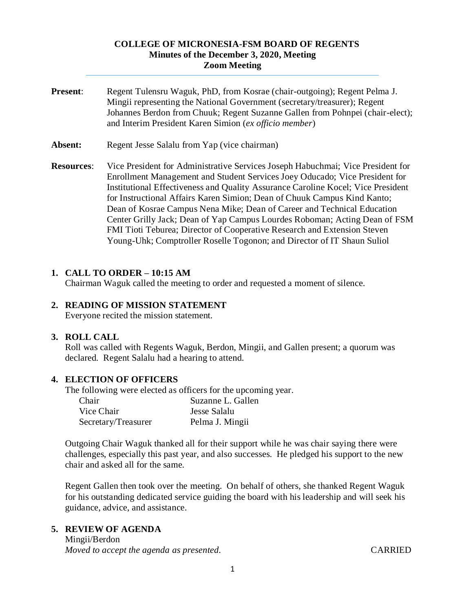#### **COLLEGE OF MICRONESIA-FSM BOARD OF REGENTS Minutes of the December 3, 2020, Meeting Zoom Meeting**

- **Present**: Regent Tulensru Waguk, PhD, from Kosrae (chair-outgoing); Regent Pelma J. Mingii representing the National Government (secretary/treasurer); Regent Johannes Berdon from Chuuk; Regent Suzanne Gallen from Pohnpei (chair-elect); and Interim President Karen Simion (*ex officio member*)
- Absent: Regent Jesse Salalu from Yap (vice chairman)
- **Resources**: Vice President for Administrative Services Joseph Habuchmai; Vice President for Enrollment Management and Student Services Joey Oducado; Vice President for Institutional Effectiveness and Quality Assurance Caroline Kocel; Vice President for Instructional Affairs Karen Simion; Dean of Chuuk Campus Kind Kanto; Dean of Kosrae Campus Nena Mike; Dean of Career and Technical Education Center Grilly Jack; Dean of Yap Campus Lourdes Roboman; Acting Dean of FSM FMI Tioti Teburea; Director of Cooperative Research and Extension Steven Young-Uhk; Comptroller Roselle Togonon; and Director of IT Shaun Suliol

#### **1. CALL TO ORDER – 10:15 AM**

Chairman Waguk called the meeting to order and requested a moment of silence.

#### **2. READING OF MISSION STATEMENT**

Everyone recited the mission statement.

#### **3. ROLL CALL**

Roll was called with Regents Waguk, Berdon, Mingii, and Gallen present; a quorum was declared. Regent Salalu had a hearing to attend.

#### **4. ELECTION OF OFFICERS**

The following were elected as officers for the upcoming year.

| Chair               | Suzanne L. Gallen |
|---------------------|-------------------|
| Vice Chair          | Jesse Salalu      |
| Secretary/Treasurer | Pelma J. Mingii   |

Outgoing Chair Waguk thanked all for their support while he was chair saying there were challenges, especially this past year, and also successes. He pledged his support to the new chair and asked all for the same.

Regent Gallen then took over the meeting. On behalf of others, she thanked Regent Waguk for his outstanding dedicated service guiding the board with his leadership and will seek his guidance, advice, and assistance.

#### **5. REVIEW OF AGENDA**

Mingii/Berdon *Moved to accept the agenda as presented.* CARRIED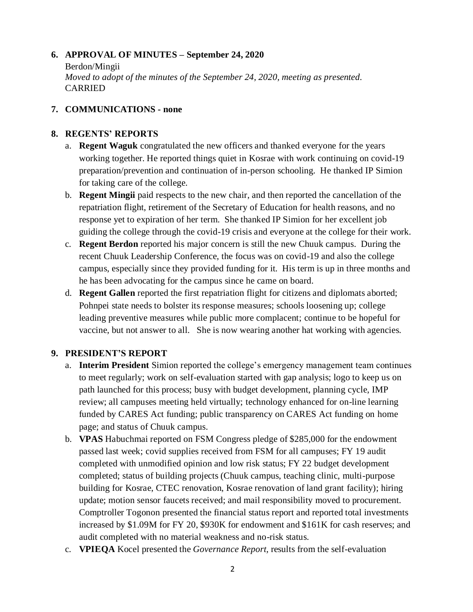### **6. APPROVAL OF MINUTES – September 24, 2020**

Berdon/Mingii *Moved to adopt of the minutes of the September 24, 2020, meeting as presented.*  CARRIED

### **7. COMMUNICATIONS - none**

### **8. REGENTS' REPORTS**

- a. **Regent Waguk** congratulated the new officers and thanked everyone for the years working together. He reported things quiet in Kosrae with work continuing on covid-19 preparation/prevention and continuation of in-person schooling. He thanked IP Simion for taking care of the college.
- b. **Regent Mingii** paid respects to the new chair, and then reported the cancellation of the repatriation flight, retirement of the Secretary of Education for health reasons, and no response yet to expiration of her term. She thanked IP Simion for her excellent job guiding the college through the covid-19 crisis and everyone at the college for their work.
- c. **Regent Berdon** reported his major concern is still the new Chuuk campus. During the recent Chuuk Leadership Conference, the focus was on covid-19 and also the college campus, especially since they provided funding for it. His term is up in three months and he has been advocating for the campus since he came on board.
- d. **Regent Gallen** reported the first repatriation flight for citizens and diplomats aborted; Pohnpei state needs to bolster its response measures; schools loosening up; college leading preventive measures while public more complacent; continue to be hopeful for vaccine, but not answer to all. She is now wearing another hat working with agencies.

# **9. PRESIDENT'S REPORT**

- a. **Interim President** Simion reported the college's emergency management team continues to meet regularly; work on self-evaluation started with gap analysis; logo to keep us on path launched for this process; busy with budget development, planning cycle, IMP review; all campuses meeting held virtually; technology enhanced for on-line learning funded by CARES Act funding; public transparency on CARES Act funding on home page; and status of Chuuk campus.
- b. **VPAS** Habuchmai reported on FSM Congress pledge of \$285,000 for the endowment passed last week; covid supplies received from FSM for all campuses; FY 19 audit completed with unmodified opinion and low risk status; FY 22 budget development completed; status of building projects (Chuuk campus, teaching clinic, multi-purpose building for Kosrae, CTEC renovation, Kosrae renovation of land grant facility); hiring update; motion sensor faucets received; and mail responsibility moved to procurement. Comptroller Togonon presented the financial status report and reported total investments increased by \$1.09M for FY 20, \$930K for endowment and \$161K for cash reserves; and audit completed with no material weakness and no-risk status.
- c. **VPIEQA** Kocel presented the *Governance Report,* results from the self-evaluation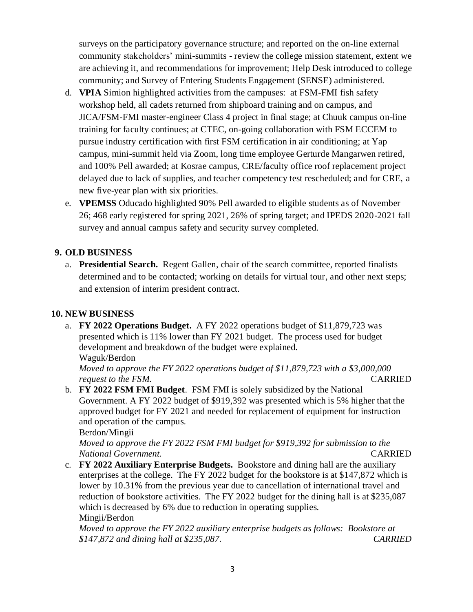surveys on the participatory governance structure; and reported on the on-line external community stakeholders' mini-summits - review the college mission statement, extent we are achieving it, and recommendations for improvement; Help Desk introduced to college community; and Survey of Entering Students Engagement (SENSE) administered.

- d. **VPIA** Simion highlighted activities from the campuses: at FSM-FMI fish safety workshop held, all cadets returned from shipboard training and on campus, and JICA/FSM-FMI master-engineer Class 4 project in final stage; at Chuuk campus on-line training for faculty continues; at CTEC, on-going collaboration with FSM ECCEM to pursue industry certification with first FSM certification in air conditioning; at Yap campus, mini-summit held via Zoom, long time employee Gerturde Mangarwen retired, and 100% Pell awarded; at Kosrae campus, CRE/faculty office roof replacement project delayed due to lack of supplies, and teacher competency test rescheduled; and for CRE, a new five-year plan with six priorities.
- e. **VPEMSS** Oducado highlighted 90% Pell awarded to eligible students as of November 26; 468 early registered for spring 2021, 26% of spring target; and IPEDS 2020-2021 fall survey and annual campus safety and security survey completed.

## **9. OLD BUSINESS**

a. **Presidential Search.** Regent Gallen, chair of the search committee, reported finalists determined and to be contacted; working on details for virtual tour, and other next steps; and extension of interim president contract.

#### **10. NEW BUSINESS**

a. **FY 2022 Operations Budget.** A FY 2022 operations budget of \$11,879,723 was presented which is 11% lower than FY 2021 budget. The process used for budget development and breakdown of the budget were explained. Waguk/Berdon

*Moved to approve the FY 2022 operations budget of \$11,879,723 with a \$3,000,000 request to the FSM.* CARRIED

b. **FY 2022 FSM FMI Budget**. FSM FMI is solely subsidized by the National Government. A FY 2022 budget of \$919,392 was presented which is 5% higher that the approved budget for FY 2021 and needed for replacement of equipment for instruction and operation of the campus.

Berdon/Mingii

*Moved to approve the FY 2022 FSM FMI budget for \$919,392 for submission to the National Government.* CARRIED

c. **FY 2022 Auxiliary Enterprise Budgets.** Bookstore and dining hall are the auxiliary enterprises at the college. The FY 2022 budget for the bookstore is at \$147,872 which is lower by 10.31% from the previous year due to cancellation of international travel and reduction of bookstore activities. The FY 2022 budget for the dining hall is at \$235,087 which is decreased by 6% due to reduction in operating supplies. Mingii/Berdon

*Moved to approve the FY 2022 auxiliary enterprise budgets as follows: Bookstore at \$147,872 and dining hall at \$235,087. CARRIED*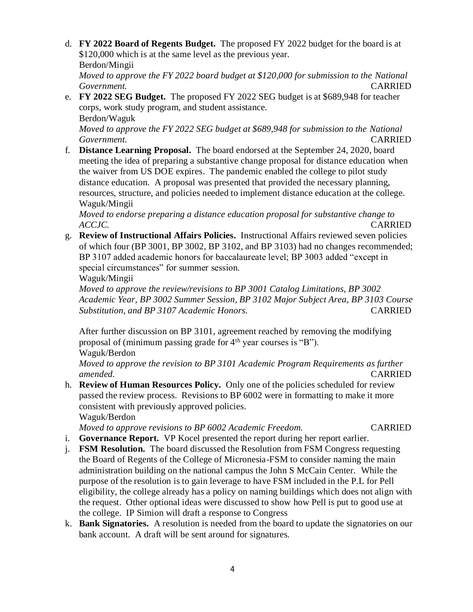d. **FY 2022 Board of Regents Budget.** The proposed FY 2022 budget for the board is at \$120,000 which is at the same level as the previous year. Berdon/Mingii

*Moved to approve the FY 2022 board budget at \$120,000 for submission to the National Government.* CARRIED

e. **FY 2022 SEG Budget.** The proposed FY 2022 SEG budget is at \$689,948 for teacher corps, work study program, and student assistance. Berdon/Waguk

*Moved to approve the FY 2022 SEG budget at \$689,948 for submission to the National Government.* CARRIED

f. **Distance Learning Proposal.** The board endorsed at the September 24, 2020, board meeting the idea of preparing a substantive change proposal for distance education when the waiver from US DOE expires. The pandemic enabled the college to pilot study distance education. A proposal was presented that provided the necessary planning, resources, structure, and policies needed to implement distance education at the college. Waguk/Mingii

*Moved to endorse preparing a distance education proposal for substantive change to ACCJC.* CARRIED

g. **Review of Instructional Affairs Policies.** Instructional Affairs reviewed seven policies of which four (BP 3001, BP 3002, BP 3102, and BP 3103) had no changes recommended; BP 3107 added academic honors for baccalaureate level; BP 3003 added "except in special circumstances" for summer session.

Waguk/Mingii

*Moved to approve the review/revisions to BP 3001 Catalog Limitations, BP 3002 Academic Year, BP 3002 Summer Session, BP 3102 Major Subject Area, BP 3103 Course Substitution, and BP 3107 Academic Honors.* CARRIED

After further discussion on BP 3101, agreement reached by removing the modifying proposal of (minimum passing grade for  $4<sup>th</sup>$  year courses is "B"). Waguk/Berdon

*Moved to approve the revision to BP 3101 Academic Program Requirements as further amended.* CARRIED

h. **Review of Human Resources Policy.** Only one of the policies scheduled for review passed the review process. Revisions to BP 6002 were in formatting to make it more consistent with previously approved policies.

Waguk/Berdon

*Moved to approve revisions to BP 6002 Academic Freedom.* CARRIED

- 
- i. **Governance Report.** VP Kocel presented the report during her report earlier.
- j. **FSM Resolution.** The board discussed the Resolution from FSM Congress requesting the Board of Regents of the College of Micronesia-FSM to consider naming the main administration building on the national campus the John S McCain Center. While the purpose of the resolution is to gain leverage to have FSM included in the P.L for Pell eligibility, the college already has a policy on naming buildings which does not align with the request. Other optional ideas were discussed to show how Pell is put to good use at the college. IP Simion will draft a response to Congress
- k. **Bank Signatories.** A resolution is needed from the board to update the signatories on our bank account. A draft will be sent around for signatures.